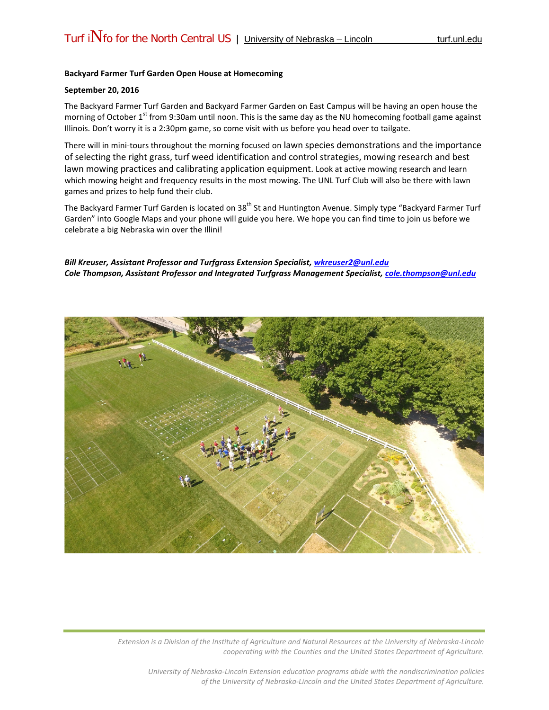## **Backyard Farmer Turf Garden Open House at Homecoming**

## **September 20, 2016**

The Backyard Farmer Turf Garden and Backyard Farmer Garden on East Campus will be having an open house the morning of October 1<sup>st</sup> from 9:30am until noon. This is the same day as the NU homecoming football game against Illinois. Don't worry it is a 2:30pm game, so come visit with us before you head over to tailgate.

There will in mini-tours throughout the morning focused on lawn species demonstrations and the importance of selecting the right grass, turf weed identification and control strategies, mowing research and best lawn mowing practices and calibrating application equipment. Look at active mowing research and learn which mowing height and frequency results in the most mowing. The UNL Turf Club will also be there with lawn games and prizes to help fund their club.

The Backyard Farmer Turf Garden is located on 38<sup>th</sup> St and Huntington Avenue. Simply type "Backyard Farmer Turf Garden" into Google Maps and your phone will guide you here. We hope you can find time to join us before we celebrate a big Nebraska win over the Illini!

## *Bill Kreuser, Assistant Professor and Turfgrass Extension Specialist, [wkreuser2@unl.edu](mailto:wkreuser2@unl.edu) Cole Thompson, Assistant Professor and Integrated Turfgrass Management Specialist, cole.thompson@unl.edu*



*Extension is a Division of the Institute of Agriculture and Natural Resources at the University of Nebraska-Lincoln cooperating with the Counties and the United States Department of Agriculture.*

*University of Nebraska-Lincoln Extension education programs abide with the nondiscrimination policies of the University of Nebraska-Lincoln and the United States Department of Agriculture.*